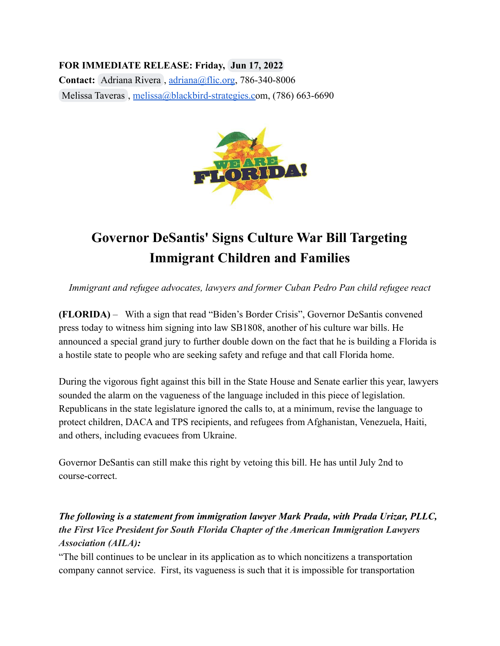## **FOR IMMEDIATE RELEASE: Friday, Jun 17, 2022**

**Contact:** [Adriana Rivera](mailto:adriana@floridaimmigrant.org) , [adriana@flic.org,](mailto:adriana@flic.org) 786-340-8006 [Melissa Taveras](mailto:melissa@blackbird-strategies.com) , [melissa@blackbird-strategies.co](mailto:melissa@blackbird-strategies.com)m, (786) 663-6690



# **Governor DeSantis' Signs Culture War Bill Targeting Immigrant Children and Families**

*Immigrant and refugee advocates, lawyers and former Cuban Pedro Pan child refugee react*

**(FLORIDA)** – With a sign that read "Biden's Border Crisis", Governor DeSantis convened press today to witness him signing into law SB1808, another of his culture war bills. He announced a special grand jury to further double down on the fact that he is building a Florida is a hostile state to people who are seeking safety and refuge and that call Florida home.

During the vigorous fight against this bill in the State House and Senate earlier this year, lawyers sounded the alarm on the vagueness of the language included in this piece of legislation. Republicans in the state legislature ignored the calls to, at a minimum, revise the language to protect children, DACA and TPS recipients, and refugees from Afghanistan, Venezuela, Haiti, and others, including evacuees from Ukraine.

Governor DeSantis can still make this right by vetoing this bill. He has until July 2nd to course-correct.

## *The following is a statement from immigration lawyer Mark Prada, with Prada Urizar, PLLC, the First Vice President for South Florida Chapter of the American Immigration Lawyers Association (AILA):*

"The bill continues to be unclear in its application as to which noncitizens a transportation company cannot service. First, its vagueness is such that it is impossible for transportation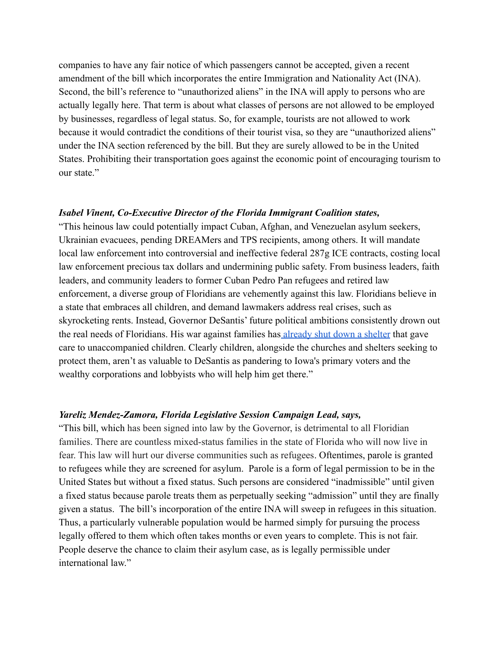companies to have any fair notice of which passengers cannot be accepted, given a recent amendment of the bill which incorporates the entire Immigration and Nationality Act (INA). Second, the bill's reference to "unauthorized aliens" in the INA will apply to persons who are actually legally here. That term is about what classes of persons are not allowed to be employed by businesses, regardless of legal status. So, for example, tourists are not allowed to work because it would contradict the conditions of their tourist visa, so they are "unauthorized aliens" under the INA section referenced by the bill. But they are surely allowed to be in the United States. Prohibiting their transportation goes against the economic point of encouraging tourism to our state."

#### *Isabel Vinent, Co-Executive Director of the Florida Immigrant Coalition states,*

"This heinous law could potentially impact Cuban, Afghan, and Venezuelan asylum seekers, Ukrainian evacuees, pending DREAMers and TPS recipients, among others. It will mandate local law enforcement into controversial and ineffective federal 287g ICE contracts, costing local law enforcement precious tax dollars and undermining public safety. From business leaders, faith leaders, and community leaders to former Cuban Pedro Pan refugees and retired law enforcement, a diverse group of Floridians are vehemently against this law. Floridians believe in a state that embraces all children, and demand lawmakers address real crises, such as skyrocketing rents. Instead, Governor DeSantis' future political ambitions consistently drown out the real needs of Floridians. His war against families has [already shut down a shelter](https://www.abcactionnews.com/news/state/non-profit-ends-foster-care-program-for-unaccompanied-migrant-kids) that gave care to unaccompanied children. Clearly children, alongside the churches and shelters seeking to protect them, aren't as valuable to DeSantis as pandering to Iowa's primary voters and the wealthy corporations and lobbyists who will help him get there."

#### *Yareliz Mendez-Zamora, Florida Legislative Session Campaign Lead, says,*

"This bill, which has been signed into law by the Governor, is detrimental to all Floridian families. There are countless mixed-status families in the state of Florida who will now live in fear. This law will hurt our diverse communities such as refugees. Oftentimes, parole is granted to refugees while they are screened for asylum. Parole is a form of legal permission to be in the United States but without a fixed status. Such persons are considered "inadmissible" until given a fixed status because parole treats them as perpetually seeking "admission" until they are finally given a status. The bill's incorporation of the entire INA will sweep in refugees in this situation. Thus, a particularly vulnerable population would be harmed simply for pursuing the process legally offered to them which often takes months or even years to complete. This is not fair. People deserve the chance to claim their asylum case, as is legally permissible under international law"